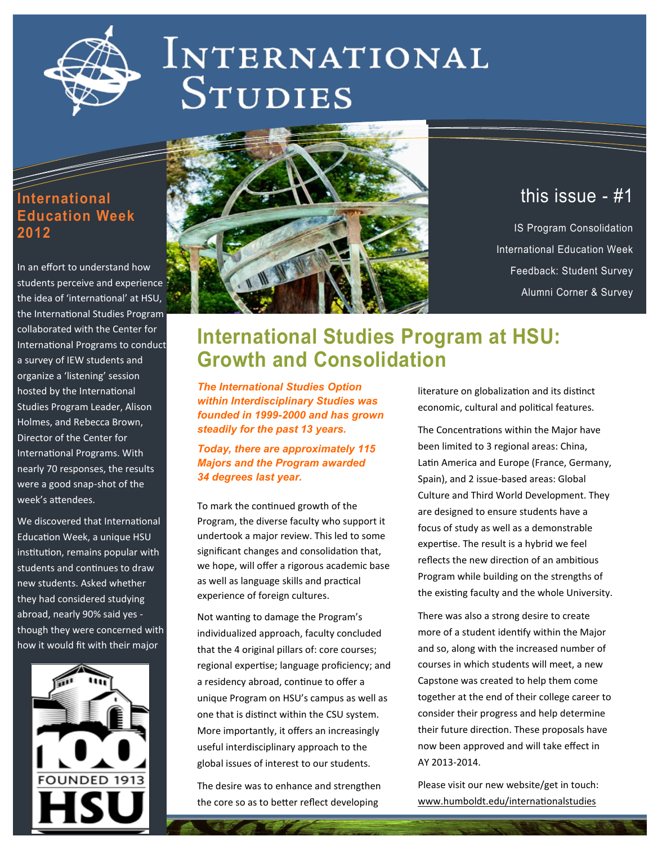<span id="page-0-0"></span>

# INTERNATIONAL **STUDIES**

### **International Education Week 2012**

In an effort to understand how students perceive and experience the idea of 'international' at HSU, the International Studies Program collaborated with the Center for International Programs to conduct a survey of IEW students and organize a 'listening' session hosted by the International Studies Program Leader, Alison Holmes, and Rebecca Brown, Director of the Center for International Programs. With nearly 70 responses, the results were a good snap-shot of the week's attendees.

We discovered that International Education Week, a unique HSU institution, remains popular with students and continues to draw new students. Asked whether they had considered studying abroad, nearly 90% said yes though they were concerned with how it would fit with their major





# this issue - #1

IS Program Consolidation International Education Week Feedback: Student Survey Alumni Corner & Survey

# **International Studies Program at HSU: Growth and Consolidation**

*The International Studies Option within Interdisciplinary Studies was founded in 1999-2000 and has grown steadily for the past 13 years.* 

#### *Today, there are approximately 115 Majors and the Program awarded 34 degrees last year.*

To mark the continued growth of the Program, the diverse faculty who support it undertook a major review. This led to some significant changes and consolidation that, we hope, will offer a rigorous academic base as well as language skills and practical experience of foreign cultures.

Not wanting to damage the Program's individualized approach, faculty concluded that the 4 original pillars of: core courses; regional expertise; language proficiency; and a residency abroad, continue to offer a unique Program on HSU's campus as well as one that is distinct within the CSU system. More importantly, it offers an increasingly useful interdisciplinary approach to the global issues of interest to our students.

The desire was to enhance and strengthen the core so as to better reflect developing

literature on globalization and its distinct economic, cultural and political features.

The Concentrations within the Major have been limited to 3 regional areas: China, Latin America and Europe (France, Germany, Spain), and 2 issue-based areas: Global Culture and Third World Development. They are designed to ensure students have a focus of study as well as a demonstrable expertise. The result is a hybrid we feel reflects the new direction of an ambitious Program while building on the strengths of the existing faculty and the whole University.

There was also a strong desire to create more of a student identify within the Major and so, along with the increased number of courses in which students will meet, a new Capstone was created to help them come together at the end of their college career to consider their progress and help determine their future direction. These proposals have now been approved and will take effect in AY 2013-2014.

Please visit our new website/get in touch: [www.humboldt.edu/internationalstudies](#page-0-0)